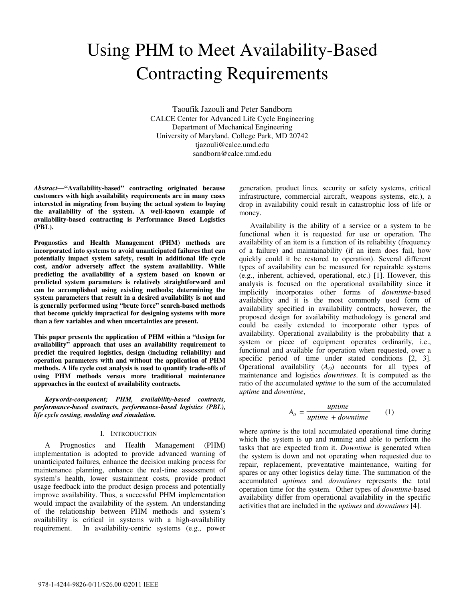# Using PHM to Meet Availability-Based Contracting Requirements

Taoufik Jazouli and Peter Sandborn CALCE Center for Advanced Life Cycle Engineering Department of Mechanical Engineering University of Maryland, College Park, MD 20742 tjazouli@calce.umd.edu sandborn@calce.umd.edu

*Abstract***—"Availability-based" contracting originated because customers with high availability requirements are in many cases interested in migrating from buying the actual system to buying the availability of the system. A well-known example of availability-based contracting is Performance Based Logistics (PBL).** 

**Prognostics and Health Management (PHM) methods are incorporated into systems to avoid unanticipated failures that can potentially impact system safety, result in additional life cycle cost, and/or adversely affect the system availability. While predicting the availability of a system based on known or predicted system parameters is relatively straightforward and can be accomplished using existing methods; determining the system parameters that result in a desired availability is not and is generally performed using "brute force" search-based methods that become quickly impractical for designing systems with more than a few variables and when uncertainties are present.** 

**This paper presents the application of PHM within a "design for availability" approach that uses an availability requirement to predict the required logistics, design (including reliability) and operation parameters with and without the application of PHM methods. A life cycle cost analysis is used to quantify trade-offs of using PHM methods versus more traditional maintenance approaches in the context of availability contracts.** 

*Keywords-component; PHM, availability-based contracts, performance-based contracts, performance-based logistics (PBL), life cycle costing, modeling and simulation.* 

### I. INTRODUCTION

A Prognostics and Health Management (PHM) implementation is adopted to provide advanced warning of unanticipated failures, enhance the decision making process for maintenance planning, enhance the real-time assessment of system's health, lower sustainment costs, provide product usage feedback into the product design process and potentially improve availability. Thus, a successful PHM implementation would impact the availability of the system. An understanding of the relationship between PHM methods and system's availability is critical in systems with a high-availability requirement. In availability-centric systems (e.g., power

generation, product lines, security or safety systems, critical infrastructure, commercial aircraft, weapons systems, etc.), a drop in availability could result in catastrophic loss of life or money.

Availability is the ability of a service or a system to be functional when it is requested for use or operation. The availability of an item is a function of its reliability (frequency of a failure) and maintainability (if an item does fail, how quickly could it be restored to operation). Several different types of availability can be measured for repairable systems (e.g., inherent, achieved, operational, etc.) [1]. However, this analysis is focused on the operational availability since it implicitly incorporates other forms of *downtime*-based availability and it is the most commonly used form of availability specified in availability contracts, however, the proposed design for availability methodology is general and could be easily extended to incorporate other types of availability. Operational availability is the probability that a system or piece of equipment operates ordinarily, i.e., functional and available for operation when requested, over a specific period of time under stated conditions [2, 3]. Operational availability (*AO*) accounts for all types of maintenance and logistics *downtimes*. It is computed as the ratio of the accumulated *uptime* to the sum of the accumulated *uptime* and *downtime*,

$$
A_o = \frac{uptime}{uptime + dovntime} \tag{1}
$$

where *uptime* is the total accumulated operational time during which the system is up and running and able to perform the tasks that are expected from it. *Downtime* is generated when the system is down and not operating when requested due to repair, replacement, preventative maintenance, waiting for spares or any other logistics delay time. The summation of the accumulated *uptimes* and *downtimes* represents the total operation time for the system. Other types of *downtime*-based availability differ from operational availability in the specific activities that are included in the *uptimes* and *downtimes* [4].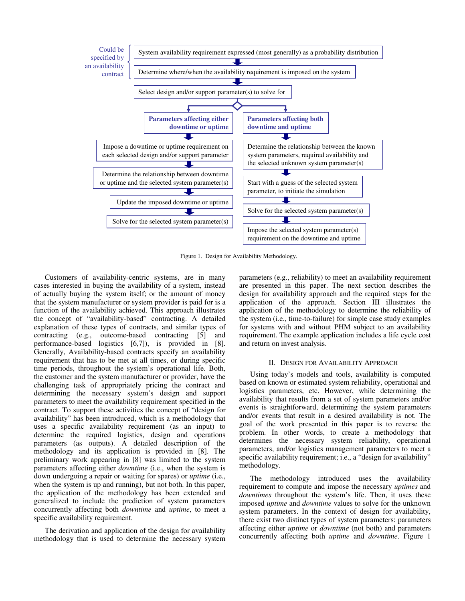

Figure 1. Design for Availability Methodology.

Customers of availability-centric systems, are in many cases interested in buying the availability of a system, instead of actually buying the system itself; or the amount of money that the system manufacturer or system provider is paid for is a function of the availability achieved. This approach illustrates the concept of "availability-based" contracting. A detailed explanation of these types of contracts, and similar types of contracting (e.g., outcome-based contracting [5] and performance-based logistics [6,7]), is provided in [8]. Generally, Availability-based contracts specify an availability requirement that has to be met at all times, or during specific time periods, throughout the system's operational life. Both, the customer and the system manufacturer or provider, have the challenging task of appropriately pricing the contract and determining the necessary system's design and support parameters to meet the availability requirement specified in the contract. To support these activities the concept of "design for availability" has been introduced, which is a methodology that uses a specific availability requirement (as an input) to determine the required logistics, design and operations parameters (as outputs). A detailed description of the methodology and its application is provided in [8]. The preliminary work appearing in [8] was limited to the system parameters affecting either *downtime* (i.e., when the system is down undergoing a repair or waiting for spares) or *uptime* (i.e., when the system is up and running), but not both. In this paper, the application of the methodology has been extended and generalized to include the prediction of system parameters concurrently affecting both *downtime* and *uptime*, to meet a specific availability requirement.

The derivation and application of the design for availability methodology that is used to determine the necessary system

parameters (e.g., reliability) to meet an availability requirement are presented in this paper. The next section describes the design for availability approach and the required steps for the application of the approach. Section III illustrates the application of the methodology to determine the reliability of the system (i.e., time-to-failure) for simple case study examples for systems with and without PHM subject to an availability requirement. The example application includes a life cycle cost and return on invest analysis.

## II. DESIGN FOR AVAILABILITY APPROACH

Using today's models and tools, availability is computed based on known or estimated system reliability, operational and logistics parameters, etc. However, while determining the availability that results from a set of system parameters and/or events is straightforward, determining the system parameters and/or events that result in a desired availability is not. The goal of the work presented in this paper is to reverse the problem. In other words, to create a methodology that determines the necessary system reliability, operational parameters, and/or logistics management parameters to meet a specific availability requirement; i.e., a "design for availability" methodology.

The methodology introduced uses the availability requirement to compute and impose the necessary *uptimes* and *downtimes* throughout the system's life. Then, it uses these imposed *uptime* and *downtime* values to solve for the unknown system parameters. In the context of design for availability, there exist two distinct types of system parameters: parameters affecting either *uptime* or *downtime* (not both) and parameters concurrently affecting both *uptime* and *downtime*. Figure 1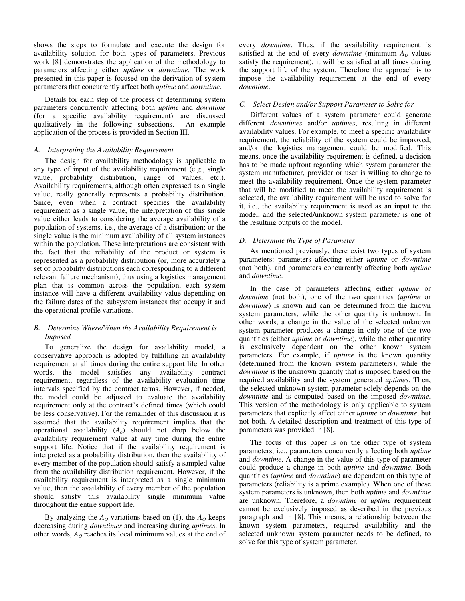shows the steps to formulate and execute the design for availability solution for both types of parameters. Previous work [8] demonstrates the application of the methodology to parameters affecting either *uptime* or *downtime*. The work presented in this paper is focused on the derivation of system parameters that concurrently affect both *uptime* and *downtime*.

Details for each step of the process of determining system parameters concurrently affecting both *uptime* and *downtime* (for a specific availability requirement) are discussed qualitatively in the following subsections. An example application of the process is provided in Section III.

## *A. Interpreting the Availability Requirement*

The design for availability methodology is applicable to any type of input of the availability requirement (e.g., single value, probability distribution, range of values, etc.). Availability requirements, although often expressed as a single value, really generally represents a probability distribution. Since, even when a contract specifies the availability requirement as a single value, the interpretation of this single value either leads to considering the average availability of a population of systems, i.e., the average of a distribution; or the single value is the minimum availability of all system instances within the population. These interpretations are consistent with the fact that the reliability of the product or system is represented as a probability distribution (or, more accurately a set of probability distributions each corresponding to a different relevant failure mechanism); thus using a logistics management plan that is common across the population, each system instance will have a different availability value depending on the failure dates of the subsystem instances that occupy it and the operational profile variations.

## *B. Determine Where/When the Availability Requirement is Imposed*

To generalize the design for availability model, a conservative approach is adopted by fulfilling an availability requirement at all times during the entire support life. In other words, the model satisfies any availability contract requirement, regardless of the availability evaluation time intervals specified by the contract terms. However, if needed, the model could be adjusted to evaluate the availability requirement only at the contract's defined times (which could be less conservative). For the remainder of this discussion it is assumed that the availability requirement implies that the operational availability (*Ao*) should not drop below the availability requirement value at any time during the entire support life. Notice that if the availability requirement is interpreted as a probability distribution, then the availability of every member of the population should satisfy a sampled value from the availability distribution requirement. However, if the availability requirement is interpreted as a single minimum value, then the availability of every member of the population should satisfy this availability single minimum value throughout the entire support life.

By analyzing the  $A<sub>O</sub>$  variations based on (1), the  $A<sub>O</sub>$  keeps decreasing during *downtimes* and increasing during *uptimes*. In other words,  $A<sub>O</sub>$  reaches its local minimum values at the end of every *downtime*. Thus, if the availability requirement is satisfied at the end of every *downtime* (minimum  $A<sub>0</sub>$  values satisfy the requirement), it will be satisfied at all times during the support life of the system. Therefore the approach is to impose the availability requirement at the end of every *downtime*.

## *C. Select Design and/or Support Parameter to Solve for*

Different values of a system parameter could generate different *downtimes* and/or *uptimes*, resulting in different availability values. For example, to meet a specific availability requirement, the reliability of the system could be improved, and/or the logistics management could be modified. This means, once the availability requirement is defined, a decision has to be made upfront regarding which system parameter the system manufacturer, provider or user is willing to change to meet the availability requirement. Once the system parameter that will be modified to meet the availability requirement is selected, the availability requirement will be used to solve for it, i.e., the availability requirement is used as an input to the model, and the selected/unknown system parameter is one of the resulting outputs of the model.

### *D. Determine the Type of Parameter*

As mentioned previously, there exist two types of system parameters: parameters affecting either *uptime* or *downtime* (not both), and parameters concurrently affecting both *uptime* and *downtime*.

In the case of parameters affecting either *uptime* or *downtime* (not both), one of the two quantities (*uptime* or *downtime*) is known and can be determined from the known system parameters, while the other quantity is unknown. In other words, a change in the value of the selected unknown system parameter produces a change in only one of the two quantities (either *uptime* or *downtime*), while the other quantity is exclusively dependent on the other known system parameters. For example, if *uptime* is the known quantity (determined from the known system parameters), while the *downtime* is the unknown quantity that is imposed based on the required availability and the system generated *uptimes*. Then, the selected unknown system parameter solely depends on the *downtime* and is computed based on the imposed *downtime*. This version of the methodology is only applicable to system parameters that explicitly affect either *uptime* or *downtime*, but not both. A detailed description and treatment of this type of parameters was provided in [8].

The focus of this paper is on the other type of system parameters, i.e., parameters concurrently affecting both *uptime* and *downtime*. A change in the value of this type of parameter could produce a change in both *uptime* and *downtime*. Both quantities (*uptime* and *downtime*) are dependent on this type of parameters (reliability is a prime example). When one of these system parameters is unknown, then both *uptime* and *downtime* are unknown. Therefore, a *downtime* or *uptime* requirement cannot be exclusively imposed as described in the previous paragraph and in [8]. This means, a relationship between the known system parameters, required availability and the selected unknown system parameter needs to be defined, to solve for this type of system parameter.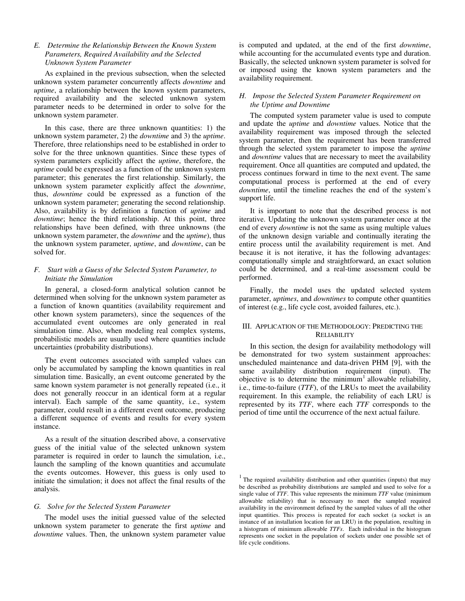## *E. Determine the Relationship Between the Known System Parameters, Required Availability and the Selected Unknown System Parameter*

As explained in the previous subsection, when the selected unknown system parameter concurrently affects *downtime* and *uptime*, a relationship between the known system parameters, required availability and the selected unknown system parameter needs to be determined in order to solve for the unknown system parameter.

In this case, there are three unknown quantities: 1) the unknown system parameter, 2) the *downtime* and 3) the *uptime*. Therefore, three relationships need to be established in order to solve for the three unknown quantities. Since these types of system parameters explicitly affect the *uptime*, therefore, the *uptime* could be expressed as a function of the unknown system parameter; this generates the first relationship. Similarly, the unknown system parameter explicitly affect the *downtime*, thus, *downtime* could be expressed as a function of the unknown system parameter; generating the second relationship. Also, availability is by definition a function of *uptime* and *downtime*; hence the third relationship. At this point, three relationships have been defined, with three unknowns (the unknown system parameter, the *downtime* and the *uptime*), thus the unknown system parameter, *uptime*, and *downtime*, can be solved for.

## *F. Start with a Guess of the Selected System Parameter, to Initiate the Simulation*

In general, a closed-form analytical solution cannot be determined when solving for the unknown system parameter as a function of known quantities (availability requirement and other known system parameters), since the sequences of the accumulated event outcomes are only generated in real simulation time. Also, when modeling real complex systems, probabilistic models are usually used where quantities include uncertainties (probability distributions).

The event outcomes associated with sampled values can only be accumulated by sampling the known quantities in real simulation time. Basically, an event outcome generated by the same known system parameter is not generally repeated (i.e., it does not generally reoccur in an identical form at a regular interval). Each sample of the same quantity, i.e., system parameter, could result in a different event outcome, producing a different sequence of events and results for every system instance.

As a result of the situation described above, a conservative guess of the initial value of the selected unknown system parameter is required in order to launch the simulation, i.e., launch the sampling of the known quantities and accumulate the events outcomes. However, this guess is only used to initiate the simulation; it does not affect the final results of the analysis.

## *G. Solve for the Selected System Parameter*

The model uses the initial guessed value of the selected unknown system parameter to generate the first *uptime* and *downtime* values. Then, the unknown system parameter value is computed and updated, at the end of the first *downtime*, while accounting for the accumulated events type and duration. Basically, the selected unknown system parameter is solved for or imposed using the known system parameters and the availability requirement.

## *H. Impose the Selected System Parameter Requirement on the Uptime and Downtime*

The computed system parameter value is used to compute and update the *uptime* and *downtime* values. Notice that the availability requirement was imposed through the selected system parameter, then the requirement has been transferred through the selected system parameter to impose the *uptime* and *downtime* values that are necessary to meet the availability requirement. Once all quantities are computed and updated, the process continues forward in time to the next event. The same computational process is performed at the end of every *downtime*, until the timeline reaches the end of the system's support life.

It is important to note that the described process is not iterative. Updating the unknown system parameter once at the end of every *downtime* is not the same as using multiple values of the unknown design variable and continually iterating the entire process until the availability requirement is met. And because it is not iterative, it has the following advantages: computationally simple and straightforward, an exact solution could be determined, and a real-time assessment could be performed.

Finally, the model uses the updated selected system parameter, *uptimes*, and *downtimes* to compute other quantities of interest (e.g., life cycle cost, avoided failures, etc.).

## III. APPLICATION OF THE METHODOLOGY: PREDICTING THE **RELIABILITY**

In this section, the design for availability methodology will be demonstrated for two system sustainment approaches: unscheduled maintenance and data-driven PHM [9], with the same availability distribution requirement (input). The objective is to determine the minimum 1 allowable reliability, i.e., time-to-failure (*TTF*), of the LRUs to meet the availability requirement. In this example, the reliability of each LRU is represented by its *TTF*, where each *TTF* corresponds to the period of time until the occurrence of the next actual failure.

 $1$  The required availability distribution and other quantities (inputs) that may be described as probability distributions are sampled and used to solve for a single value of *TTF*. This value represents the minimum *TTF* value (minimum allowable reliability) that is necessary to meet the sampled required availability in the environment defined by the sampled values of all the other input quantities. This process is repeated for each socket (a socket is an instance of an installation location for an LRU) in the population, resulting in a histogram of minimum allowable *TTFs*. Each individual in the histogram represents one socket in the population of sockets under one possible set of life cycle conditions.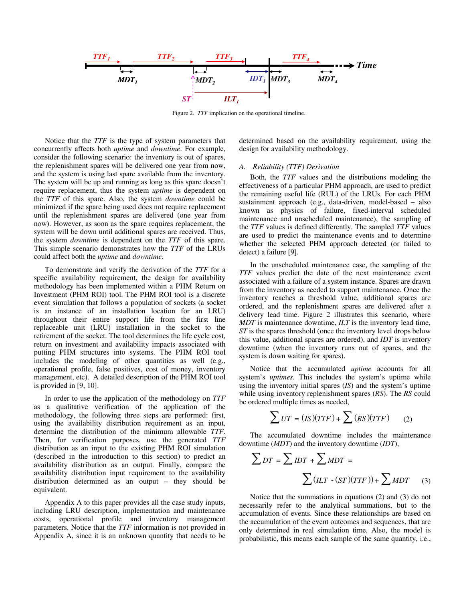

Figure 2. *TTF* implication on the operational timeline.

Notice that the *TTF* is the type of system parameters that concurrently affects both *uptime* and *downtime*. For example, consider the following scenario: the inventory is out of spares, the replenishment spares will be delivered one year from now, and the system is using last spare available from the inventory. The system will be up and running as long as this spare doesn't require replacement, thus the system *uptime* is dependent on the *TTF* of this spare. Also, the system *downtime* could be minimized if the spare being used does not require replacement until the replenishment spares are delivered (one year from now). However, as soon as the spare requires replacement, the system will be down until additional spares are received. Thus, the system *downtime* is dependent on the *TTF* of this spare. This simple scenario demonstrates how the *TTF* of the LRUs could affect both the *uptime* and *downtime*.

To demonstrate and verify the derivation of the *TTF* for a specific availability requirement, the design for availability methodology has been implemented within a PHM Return on Investment (PHM ROI) tool. The PHM ROI tool is a discrete event simulation that follows a population of sockets (a socket is an instance of an installation location for an LRU) throughout their entire support life from the first line replaceable unit (LRU) installation in the socket to the retirement of the socket. The tool determines the life cycle cost, return on investment and availability impacts associated with putting PHM structures into systems. The PHM ROI tool includes the modeling of other quantities as well (e.g., operational profile, false positives, cost of money, inventory management, etc). A detailed description of the PHM ROI tool is provided in [9, 10].

In order to use the application of the methodology on *TTF* as a qualitative verification of the application of the methodology, the following three steps are performed: first, using the availability distribution requirement as an input, determine the distribution of the minimum allowable *TTF*. Then, for verification purposes, use the generated *TTF* distribution as an input to the existing PHM ROI simulation (described in the introduction to this section) to predict an availability distribution as an output. Finally, compare the availability distribution input requirement to the availability distribution determined as an output – they should be equivalent.

Appendix A to this paper provides all the case study inputs, including LRU description, implementation and maintenance costs, operational profile and inventory management parameters. Notice that the *TTF* information is not provided in Appendix A, since it is an unknown quantity that needs to be determined based on the availability requirement, using the design for availability methodology.

## *A. Reliability (TTF) Derivation*

Both, the *TTF* values and the distributions modeling the effectiveness of a particular PHM approach, are used to predict the remaining useful life (RUL) of the LRUs. For each PHM sustainment approach (e.g., data-driven, model-based – also known as physics of failure, fixed-interval scheduled maintenance and unscheduled maintenance), the sampling of the *TTF* values is defined differently. The sampled *TTF* values are used to predict the maintenance events and to determine whether the selected PHM approach detected (or failed to detect) a failure [9].

In the unscheduled maintenance case, the sampling of the *TTF* values predict the date of the next maintenance event associated with a failure of a system instance. Spares are drawn from the inventory as needed to support maintenance. Once the inventory reaches a threshold value, additional spares are ordered, and the replenishment spares are delivered after a delivery lead time. Figure 2 illustrates this scenario, where *MDT* is maintenance downtime, *ILT* is the inventory lead time, *ST* is the spares threshold (once the inventory level drops below this value, additional spares are ordered), and *IDT* is inventory downtime (when the inventory runs out of spares, and the system is down waiting for spares).

Notice that the accumulated *uptime* accounts for all system's *uptimes*. This includes the system's uptime while using the inventory initial spares (*IS*) and the system's uptime while using inventory replenishment spares (*RS*). The *RS* could be ordered multiple times as needed,

$$
\sum UT = (IS)(TTF) + \sum (RS)(TTF) \qquad (2)
$$

The accumulated downtime includes the maintenance downtime (*MDT*) and the inventory downtime (*IDT*),

$$
\sum DT = \sum IDT + \sum MDT =
$$
  
 
$$
\sum (ILT - (ST)(TTF)) + \sum MDT
$$
 (3)

Notice that the summations in equations (2) and (3) do not necessarily refer to the analytical summations, but to the accumulation of events. Since these relationships are based on the accumulation of the event outcomes and sequences, that are only determined in real simulation time. Also, the model is probabilistic, this means each sample of the same quantity, i.e.,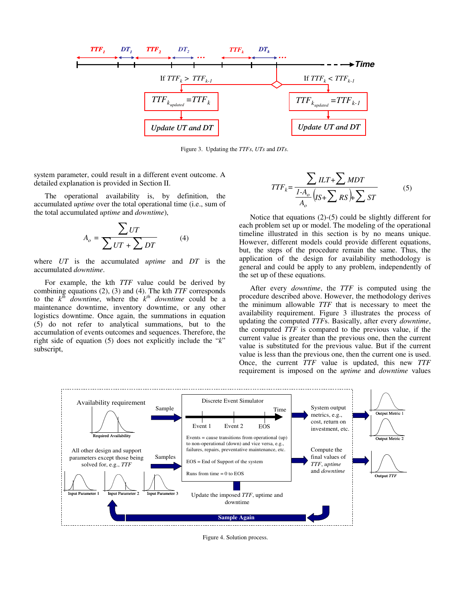

Figure 3. Updating the *TTFs*, *UTs* and *DTs*.

system parameter, could result in a different event outcome. A detailed explanation is provided in Section II.

The operational availability is, by definition, the accumulated *uptime* over the total operational time (i.e., sum of the total accumulated *uptime* and *downtime*),

$$
A_o = \frac{\sum UT}{\sum UT + \sum DT} \tag{4}
$$

where *UT* is the accumulated *uptime* and *DT* is the accumulated *downtime*.

For example, the kth *TTF* value could be derived by combining equations (2), (3) and (4). The kth *TTF* corresponds to the  $k^{th}$  *downtime*, where the  $k^{th}$  *downtime* could be a maintenance downtime, inventory downtime, or any other logistics downtime. Once again, the summations in equation (5) do not refer to analytical summations, but to the accumulation of events outcomes and sequences. Therefore, the right side of equation (5) does not explicitly include the "*k*" subscript,

$$
TTF_k = \frac{\sum ILT + \sum MDT}{\frac{I-A_o}{A_o} \left(IS + \sum RS\right) + \sum ST}
$$
 (5)

Notice that equations (2)-(5) could be slightly different for each problem set up or model. The modeling of the operational timeline illustrated in this section is by no means unique. However, different models could provide different equations, but, the steps of the procedure remain the same. Thus, the application of the design for availability methodology is general and could be apply to any problem, independently of the set up of these equations.

After every *downtime*, the *TTF* is computed using the procedure described above. However, the methodology derives the minimum allowable *TTF* that is necessary to meet the availability requirement. Figure 3 illustrates the process of updating the computed *TTF*s. Basically, after every *downtime*, the computed *TTF* is compared to the previous value, if the current value is greater than the previous one, then the current value is substituted for the previous value. But if the current value is less than the previous one, then the current one is used. Once, the current *TTF* value is updated, this new *TTF* requirement is imposed on the *uptime* and *downtime* values



Figure 4. Solution process.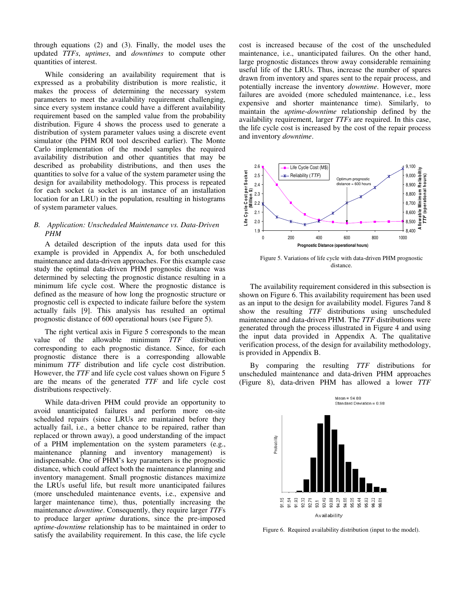through equations (2) and (3). Finally, the model uses the updated *TTFs*, *uptimes*, and *downtimes* to compute other quantities of interest.

While considering an availability requirement that is expressed as a probability distribution is more realistic, it makes the process of determining the necessary system parameters to meet the availability requirement challenging, since every system instance could have a different availability requirement based on the sampled value from the probability distribution. Figure 4 shows the process used to generate a distribution of system parameter values using a discrete event simulator (the PHM ROI tool described earlier). The Monte Carlo implementation of the model samples the required availability distribution and other quantities that may be described as probability distributions, and then uses the quantities to solve for a value of the system parameter using the design for availability methodology. This process is repeated for each socket (a socket is an instance of an installation location for an LRU) in the population, resulting in histograms of system parameter values.

## *B. Application: Unscheduled Maintenance vs. Data-Driven PHM*

A detailed description of the inputs data used for this example is provided in Appendix A, for both unscheduled maintenance and data-driven approaches. For this example case study the optimal data-driven PHM prognostic distance was determined by selecting the prognostic distance resulting in a minimum life cycle cost. Where the prognostic distance is defined as the measure of how long the prognostic structure or prognostic cell is expected to indicate failure before the system actually fails [9]. This analysis has resulted an optimal prognostic distance of 600 operational hours (see Figure 5).

The right vertical axis in Figure 5 corresponds to the mean value of the allowable minimum *TTF* distribution corresponding to each prognostic distance. Since, for each prognostic distance there is a corresponding allowable minimum *TTF* distribution and life cycle cost distribution. However, the *TTF* and life cycle cost values shown on Figure 5 are the means of the generated *TTF* and life cycle cost distributions respectively.

While data-driven PHM could provide an opportunity to avoid unanticipated failures and perform more on-site scheduled repairs (since LRUs are maintained before they actually fail, i.e., a better chance to be repaired, rather than replaced or thrown away), a good understanding of the impact of a PHM implementation on the system parameters (e.g., maintenance planning and inventory management) is indispensable. One of PHM's key parameters is the prognostic distance, which could affect both the maintenance planning and inventory management. Small prognostic distances maximize the LRUs useful life, but result more unanticipated failures (more unscheduled maintenance events, i.e., expensive and larger maintenance time), thus, potentially increasing the maintenance *downtime*. Consequently, they require larger *TTF*s to produce larger *uptime* durations, since the pre-imposed *uptime*-*downtime* relationship has to be maintained in order to satisfy the availability requirement. In this case, the life cycle

cost is increased because of the cost of the unscheduled maintenance, i.e., unanticipated failures. On the other hand, large prognostic distances throw away considerable remaining useful life of the LRUs. Thus, increase the number of spares drawn from inventory and spares sent to the repair process, and potentially increase the inventory *downtime*. However, more failures are avoided (more scheduled maintenance, i.e., less expensive and shorter maintenance time). Similarly, to maintain the *uptime*-*downtime* relationship defined by the availability requirement, larger *TTFs* are required. In this case, the life cycle cost is increased by the cost of the repair process and inventory *downtime*.



Figure 5. Variations of life cycle with data-driven PHM prognostic distance.

The availability requirement considered in this subsection is shown on Figure 6. This availability requirement has been used as an input to the design for availability model. Figures 7and 8 show the resulting *TTF* distributions using unscheduled maintenance and data-driven PHM. The *TTF* distributions were generated through the process illustrated in Figure 4 and using the input data provided in Appendix A. The qualitative verification process, of the design for availability methodology, is provided in Appendix B.

By comparing the resulting *TTF* distributions for unscheduled maintenance and data-driven PHM approaches (Figure 8), data-driven PHM has allowed a lower *TTF*



Figure 6. Required availability distribution (input to the model).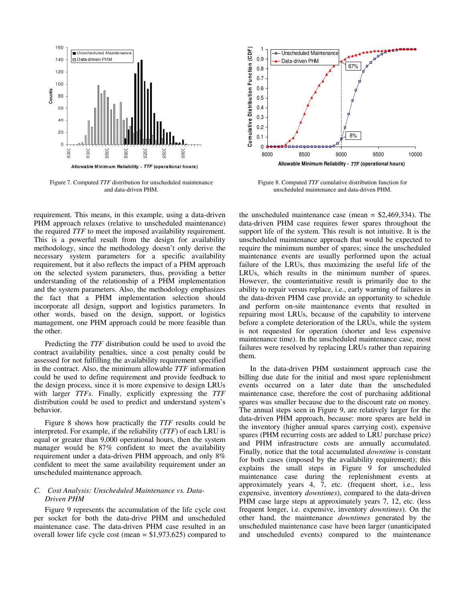

Figure 7. Computed *TTF* distribution for unscheduled maintenance and data-driven PHM.

requirement. This means, in this example, using a data-driven PHM approach relaxes (relative to unscheduled maintenance) the required *TTF* to meet the imposed availability requirement. This is a powerful result from the design for availability methodology, since the methodology doesn't only derive the necessary system parameters for a specific availability requirement, but it also reflects the impact of a PHM approach on the selected system parameters, thus, providing a better understanding of the relationship of a PHM implementation and the system parameters. Also, the methodology emphasizes the fact that a PHM implementation selection should incorporate all design, support and logistics parameters. In other words, based on the design, support, or logistics management, one PHM approach could be more feasible than the other.

Predicting the *TTF* distribution could be used to avoid the contract availability penalties, since a cost penalty could be assessed for not fulfilling the availability requirement specified in the contract. Also, the minimum allowable *TTF* information could be used to define requirement and provide feedback to the design process, since it is more expensive to design LRUs with larger *TTFs*. Finally, explicitly expressing the *TTF* distribution could be used to predict and understand system's behavior.

Figure 8 shows how practically the *TTF* results could be interpreted. For example, if the reliability (*TTF*) of each LRU is equal or greater than 9,000 operational hours, then the system manager would be 87% confident to meet the availability requirement under a data-driven PHM approach, and only 8% confident to meet the same availability requirement under an unscheduled maintenance approach.

## *C. Cost Analysis: Unscheduled Maintenance vs. Data-Driven PHM*

Figure 9 represents the accumulation of the life cycle cost per socket for both the data-drive PHM and unscheduled maintenance case. The data-driven PHM case resulted in an overall lower life cycle cost (mean = \$1,973,625) compared to



Figure 8. Computed *TTF* cumulative distribution function for unscheduled maintenance and data-driven PHM.

the unscheduled maintenance case (mean = \$2,469,334). The data-driven PHM case requires fewer spares throughout the support life of the system. This result is not intuitive. It is the unscheduled maintenance approach that would be expected to require the minimum number of spares; since the unscheduled maintenance events are usually performed upon the actual failure of the LRUs, thus maximizing the useful life of the LRUs, which results in the minimum number of spares. However, the counterintuitive result is primarily due to the ability to repair versus replace, i.e., early warning of failures in the data-driven PHM case provide an opportunity to schedule and perform on-site maintenance events that resulted in repairing most LRUs, because of the capability to intervene before a complete deterioration of the LRUs, while the system is not requested for operation (shorter and less expensive maintenance time). In the unscheduled maintenance case, most failures were resolved by replacing LRUs rather than repairing them.

In the data-driven PHM sustainment approach case the billing due date for the initial and most spare replenishment events occurred on a later date than the unscheduled maintenance case, therefore the cost of purchasing additional spares was smaller because due to the discount rate on money. The annual steps seen in Figure 9, are relatively larger for the data-driven PHM approach, because: more spares are held in the inventory (higher annual spares carrying cost), expensive spares (PHM recurring costs are added to LRU purchase price) and PHM infrastructure costs are annually accumulated. Finally, notice that the total accumulated *downtime* is constant for both cases (imposed by the availability requirement); this explains the small steps in Figure 9 for unscheduled maintenance case during the replenishment events at approximately years 4, 7, etc. (frequent short, i.e., less expensive, inventory *downtimes*), compared to the data-driven PHM case large steps at approximately years 7, 12, etc. (less frequent longer, i.e. expensive, inventory *downtimes*). On the other hand, the maintenance *downtimes* generated by the unscheduled maintenance case have been larger (unanticipated and unscheduled events) compared to the maintenance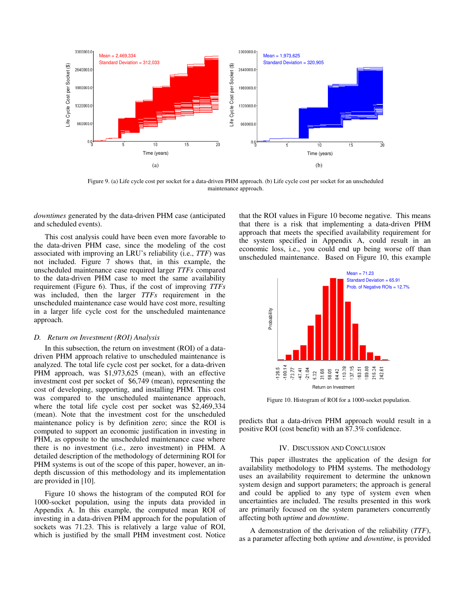

Figure 9. (a) Life cycle cost per socket for a data-driven PHM approach. (b) Life cycle cost per socket for an unscheduled maintenance approach.

*downtimes* generated by the data-driven PHM case (anticipated and scheduled events).

This cost analysis could have been even more favorable to the data-driven PHM case, since the modeling of the cost associated with improving an LRU's reliability (i.e., *TTF*) was not included. Figure 7 shows that, in this example, the unscheduled maintenance case required larger *TTFs* compared to the data-driven PHM case to meet the same availability requirement (Figure 6). Thus, if the cost of improving *TTFs* was included, then the larger *TTFs* requirement in the unscheduled maintenance case would have cost more, resulting in a larger life cycle cost for the unscheduled maintenance approach.

#### *D. Return on Investment (ROI) Analysis*

In this subsection, the return on investment (ROI) of a datadriven PHM approach relative to unscheduled maintenance is analyzed. The total life cycle cost per socket, for a data-driven PHM approach, was \$1,973,625 (mean), with an effective investment cost per socket of \$6,749 (mean), representing the cost of developing, supporting, and installing PHM. This cost was compared to the unscheduled maintenance approach, where the total life cycle cost per socket was \$2,469,334 (mean). Note that the investment cost for the unscheduled maintenance policy is by definition zero; since the ROI is computed to support an economic justification in investing in PHM, as opposite to the unscheduled maintenance case where there is no investment (i.e., zero investment) in PHM. A detailed description of the methodology of determining ROI for PHM systems is out of the scope of this paper, however, an indepth discussion of this methodology and its implementation are provided in [10].

Figure 10 shows the histogram of the computed ROI for 1000-socket population, using the inputs data provided in Appendix A. In this example, the computed mean ROI of investing in a data-driven PHM approach for the population of sockets was 71.23. This is relatively a large value of ROI, which is justified by the small PHM investment cost. Notice

that the ROI values in Figure 10 become negative. This means that there is a risk that implementing a data-driven PHM approach that meets the specified availability requirement for the system specified in Appendix A, could result in an economic loss, i.e., you could end up being worse off than unscheduled maintenance. Based on Figure 10, this example



Figure 10. Histogram of ROI for a 1000-socket population.

predicts that a data-driven PHM approach would result in a positive ROI (cost benefit) with an 87.3% confidence.

#### IV. DISCUSSION AND CONCLUSION

This paper illustrates the application of the design for availability methodology to PHM systems. The methodology uses an availability requirement to determine the unknown system design and support parameters; the approach is general and could be applied to any type of system even when uncertainties are included. The results presented in this work are primarily focused on the system parameters concurrently affecting both *uptime* and *downtime*.

A demonstration of the derivation of the reliability (*TTF*), as a parameter affecting both *uptime* and *downtime*, is provided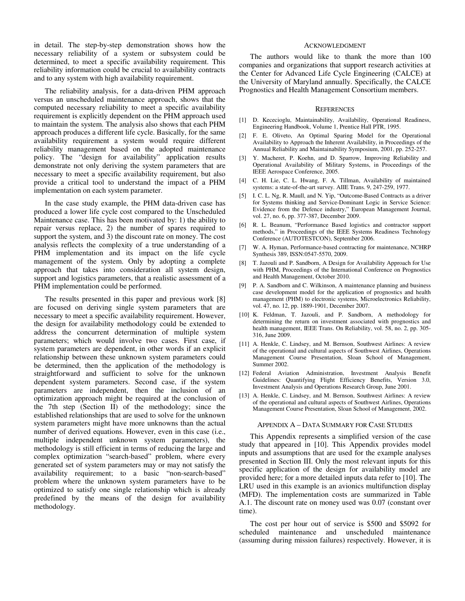in detail. The step-by-step demonstration shows how the necessary reliability of a system or subsystem could be determined, to meet a specific availability requirement. This reliability information could be crucial to availability contracts and to any system with high availability requirement.

The reliability analysis, for a data-driven PHM approach versus an unscheduled maintenance approach, shows that the computed necessary reliability to meet a specific availability requirement is explicitly dependent on the PHM approach used to maintain the system. The analysis also shows that each PHM approach produces a different life cycle. Basically, for the same availability requirement a system would require different reliability management based on the adopted maintenance policy. The "design for availability" application results demonstrate not only deriving the system parameters that are necessary to meet a specific availability requirement, but also provide a critical tool to understand the impact of a PHM implementation on each system parameter.

In the case study example, the PHM data-driven case has produced a lower life cycle cost compared to the Unscheduled Maintenance case. This has been motivated by: 1) the ability to repair versus replace, 2) the number of spares required to support the system, and 3) the discount rate on money. The cost analysis reflects the complexity of a true understanding of a PHM implementation and its impact on the life cycle management of the system. Only by adopting a complete approach that takes into consideration all system design, support and logistics parameters, that a realistic assessment of a PHM implementation could be performed.

The results presented in this paper and previous work [8] are focused on deriving single system parameters that are necessary to meet a specific availability requirement. However, the design for availability methodology could be extended to address the concurrent determination of multiple system parameters; which would involve two cases. First case, if system parameters are dependent, in other words if an explicit relationship between these unknown system parameters could be determined, then the application of the methodology is straightforward and sufficient to solve for the unknown dependent system parameters. Second case, if the system parameters are independent, then the inclusion of an optimization approach might be required at the conclusion of the 7th step (Section II) of the methodology; since the established relationships that are used to solve for the unknown system parameters might have more unknowns than the actual number of derived equations. However, even in this case (i.e., multiple independent unknown system parameters), the methodology is still efficient in terms of reducing the large and complex optimization "search-based" problem, where every generated set of system parameters may or may not satisfy the availability requirement; to a basic "non-search-based" problem where the unknown system parameters have to be optimized to satisfy one single relationship which is already predefined by the means of the design for availability methodology.

#### ACKNOWLEDGMENT

The authors would like to thank the more than 100 companies and organizations that support research activities at the Center for Advanced Life Cycle Engineering (CALCE) at the University of Maryland annually. Specifically, the CALCE Prognostics and Health Management Consortium members.

#### **REFERENCES**

- [1] D. Kececioglu, Maintainability, Availability, Operational Readiness, Engineering Handbook, Volume 1, Prentice Hall PTR, 1995.
- [2] F. E. Oliveto, An Optimal Sparing Model for the Operational Availability to Approach the Inherent Availability, in Proceedings of the Annual Reliability and Maintainability Symposium, 2001, pp. 252-257.
- [3] Y. Macheret, P. Koehn, and D. Sparrow, Improving Reliability and Operational Availability of Military Systems, in Proceedings of the IEEE Aerospace Conference, 2005.
- [4] C. H. Lie, C. L. Hwang, F. A. Tillman, Availability of maintained systems: a state-of-the-art survey. AIIE Trans. 9, 247-259, 1977.
- [5] I. C. L. Ng, R. Maull, and N. Yip, "Outcome-Based Contracts as a driver for Systems thinking and Service-Dominant Logic in Service Science: Evidence from the Defence industry," European Management Journal, vol. 27, no. 6, pp. 377-387, December 2009.
- [6] R. L. Beanum, "Performance Based logistics and contractor support methods," in Proceedings of the IEEE Systems Readiness Technology Conference (AUTOTESTCON), September 2006.
- [7] W. A. Hyman, Performance-based contracting for maintenance, NCHRP Synthesis 389, ISSN:0547-5570, 2009.
- [8] T. Jazouli and P. Sandborn, A Design for Availability Approach for Use with PHM, Proceedings of the International Conference on Prognostics and Health Management, October 2010.
- [9] P. A. Sandborn and C. Wilkinson, A maintenance planning and business case development model for the application of prognostics and health management (PHM) to electronic systems, Microelectronics Reliability, vol. 47, no. 12, pp. 1889-1901, December 2007.
- [10] K. Feldman, T. Jazouli, and P. Sandborn, A methodology for determining the return on investment associated with prognostics and health management, IEEE Trans. On Reliability, vol. 58, no. 2, pp. 305- 316, June 2009.
- [11] A. Henkle, C. Lindsey, and M. Bernson, Southwest Airlines: A review of the operational and cultural aspects of Southwest Airlines, Operations Management Course Presentation, Sloan School of Management, Summer 2002.
- [12] Federal Aviation Administration, Investment Analysis Benefit Guidelines: Quantifying Flight Efficiency Benefits, Version 3.0, Investment Analysis and Operations Research Group, June 2001.
- [13] A. Henkle, C. Lindsey, and M. Bernson, Southwest Airlines: A review of the operational and cultural aspects of Southwest Airlines, Operations Management Course Presentation, Sloan School of Management, 2002.

#### APPENDIX A – DATA SUMMARY FOR CASE STUDIES

This Appendix represents a simplified version of the case study that appeared in [10]. This Appendix provides model inputs and assumptions that are used for the example analyses presented in Section III. Only the most relevant inputs for this specific application of the design for availability model are provided here; for a more detailed inputs data refer to [10]. The LRU used in this example is an avionics multifunction display (MFD). The implementation costs are summarized in Table A.1. The discount rate on money used was 0.07 (constant over time).

The cost per hour out of service is \$500 and \$5092 for scheduled maintenance and unscheduled maintenance (assuming during mission failures) respectively. However, it is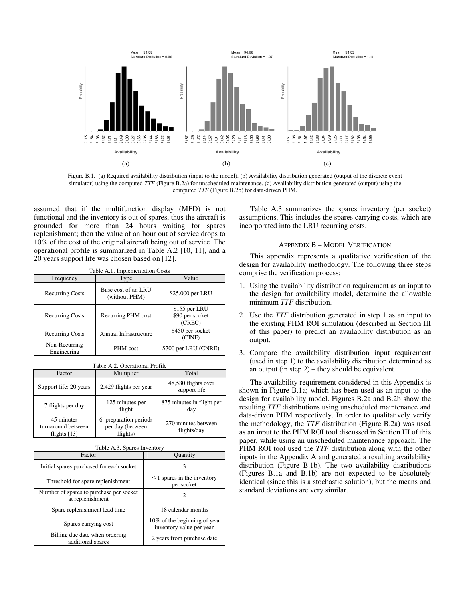

Figure B.1. (a) Required availability distribution (input to the model). (b) Availability distribution generated (output of the discrete event simulator) using the computed *TTF* (Figure B.2a) for unscheduled maintenance. (c) Availability distribution generated (output) using the computed *TTF* (Figure B.2b) for data-driven PHM.

assumed that if the multifunction display (MFD) is not functional and the inventory is out of spares, thus the aircraft is grounded for more than 24 hours waiting for spares replenishment; then the value of an hour out of service drops to 10% of the cost of the original aircraft being out of service. The operational profile is summarized in Table A.2 [10, 11], and a 20 years support life was chosen based on [12].

| Table A.1. Implementation Costs |                                      |                                            |  |  |  |  |
|---------------------------------|--------------------------------------|--------------------------------------------|--|--|--|--|
| Frequency                       | Type                                 | Value                                      |  |  |  |  |
| <b>Recurring Costs</b>          | Base cost of an LRU<br>(without PHM) | \$25,000 per LRU                           |  |  |  |  |
| <b>Recurring Costs</b>          | Recurring PHM cost                   | \$155 per LRU<br>\$90 per socket<br>(CREC) |  |  |  |  |
| <b>Recurring Costs</b>          | Annual Infrastructure                | \$450 per socket<br>(CINF)                 |  |  |  |  |
| Non-Recurring<br>Engineering    | PHM cost                             | \$700 per LRU (CNRE)                       |  |  |  |  |

Table A.2. Operational Profile Factor Multiplier Total Support life: 20 years  $\vert$  2,429 flights per year 48,580 flights over support life

| 7 flights per day                                  | 125 minutes per<br>flight                             | 875 minutes in flight per<br>day   |  |
|----------------------------------------------------|-------------------------------------------------------|------------------------------------|--|
| 45 minutes<br>turnaround between<br>flights $[13]$ | 6 preparation periods<br>per day (between<br>flights) | 270 minutes between<br>flights/day |  |

|  | Table A.3. Spares Inventory |  |
|--|-----------------------------|--|
|  |                             |  |

| Factor                                                      | Quantity                                                 |  |  |
|-------------------------------------------------------------|----------------------------------------------------------|--|--|
| Initial spares purchased for each socket                    | 3                                                        |  |  |
| Threshold for spare replenishment                           | $\leq$ 1 spares in the inventory<br>per socket           |  |  |
| Number of spares to purchase per socket<br>at replenishment | 2                                                        |  |  |
| Spare replenishment lead time                               | 18 calendar months                                       |  |  |
| Spares carrying cost                                        | 10% of the beginning of year<br>inventory value per year |  |  |
| Billing due date when ordering<br>additional spares         | 2 years from purchase date                               |  |  |

Table A.3 summarizes the spares inventory (per socket) assumptions. This includes the spares carrying costs, which are incorporated into the LRU recurring costs.

### APPENDIX B – MODEL VERIFICATION

This appendix represents a qualitative verification of the design for availability methodology. The following three steps comprise the verification process:

- 1. Using the availability distribution requirement as an input to the design for availability model, determine the allowable minimum *TTF* distribution.
- 2. Use the *TTF* distribution generated in step 1 as an input to the existing PHM ROI simulation (described in Section III of this paper) to predict an availability distribution as an output.
- 3. Compare the availability distribution input requirement (used in step 1) to the availability distribution determined as an output (in step 2) – they should be equivalent.

The availability requirement considered in this Appendix is shown in Figure B.1a; which has been used as an input to the design for availability model. Figures B.2a and B.2b show the resulting *TTF* distributions using unscheduled maintenance and data-driven PHM respectively. In order to qualitatively verify the methodology, the *TTF* distribution (Figure B.2a) was used as an input to the PHM ROI tool discussed in Section III of this paper, while using an unscheduled maintenance approach. The PHM ROI tool used the *TTF* distribution along with the other inputs in the Appendix A and generated a resulting availability distribution (Figure B.1b). The two availability distributions (Figures B.1a and B.1b) are not expected to be absolutely identical (since this is a stochastic solution), but the means and standard deviations are very similar.